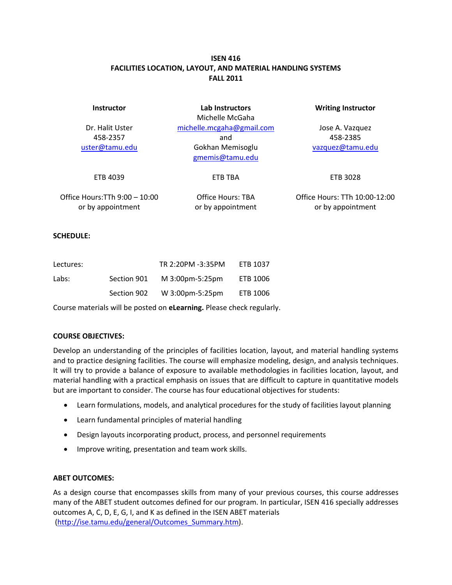# **ISEN 416 FACILITIES LOCATION, LAYOUT, AND MATERIAL HANDLING SYSTEMS FALL 2011**

| <b>Instructor</b>                                  | Lab Instructors<br>Michelle McGaha                                      | <b>Writing Instructor</b>                          |  |
|----------------------------------------------------|-------------------------------------------------------------------------|----------------------------------------------------|--|
| Dr. Halit Uster<br>458-2357<br>uster@tamu.edu      | michelle.mcgaha@gmail.com<br>and<br>Gokhan Memisoglu<br>gmemis@tamu.edu | Jose A. Vazquez<br>458-2385<br>vazquez@tamu.edu    |  |
| ETB 4039                                           | ETB TBA                                                                 | ETB 3028                                           |  |
| Office Hours:TTh 9:00 - 10:00<br>or by appointment | Office Hours: TBA<br>or by appointment                                  | Office Hours: TTh 10:00-12:00<br>or by appointment |  |

#### **SCHEDULE:**

| Lectures: |             | TR 2:20PM -3:35PM | ETB 1037 |
|-----------|-------------|-------------------|----------|
| Labs:     | Section 901 | M 3:00pm-5:25pm   | ETB 1006 |
|           | Section 902 | W 3:00pm-5:25pm   | ETB 1006 |

Course materials will be posted on **eLearning.** Please check regularly.

#### **COURSE OBJECTIVES:**

Develop an understanding of the principles of facilities location, layout, and material handling systems and to practice designing facilities. The course will emphasize modeling, design, and analysis techniques. It will try to provide a balance of exposure to available methodologies in facilities location, layout, and material handling with a practical emphasis on issues that are difficult to capture in quantitative models but are important to consider. The course has four educational objectives for students:

- Learn formulations, models, and analytical procedures for the study of facilities layout planning
- Learn fundamental principles of material handling
- Design layouts incorporating product, process, and personnel requirements
- Improve writing, presentation and team work skills.

#### **ABET OUTCOMES:**

As a design course that encompasses skills from many of your previous courses, this course addresses many of the ABET student outcomes defined for our program. In particular, ISEN 416 specially addresses outcomes A, C, D, E, G, I, and K as defined in the ISEN ABET materials (http://ise.tamu.edu/general/Outcomes\_Summary.htm).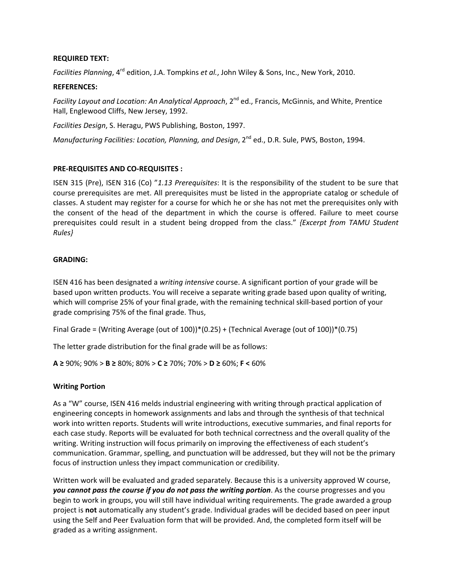### **REQUIRED TEXT:**

*Facilities Planning*, 4rd edition, J.A. Tompkins *et al.*, John Wiley & Sons, Inc., New York, 2010.

#### **REFERENCES:**

*Facility Layout and Location: An Analytical Approach*, 2nd ed., Francis, McGinnis, and White, Prentice Hall, Englewood Cliffs, New Jersey, 1992.

*Facilities Design*, S. Heragu, PWS Publishing, Boston, 1997.

*Manufacturing Facilities: Location, Planning, and Design*, 2nd ed., D.R. Sule, PWS, Boston, 1994.

#### **PRE‐REQUISITES AND CO‐REQUISITES :**

ISEN 315 (Pre), ISEN 316 (Co) "*1.13 Prerequisites*: It is the responsibility of the student to be sure that course prerequisites are met. All prerequisites must be listed in the appropriate catalog or schedule of classes. A student may register for a course for which he or she has not met the prerequisites only with the consent of the head of the department in which the course is offered. Failure to meet course prerequisites could result in a student being dropped from the class." *{Excerpt from TAMU Student Rules}*

#### **GRADING:**

ISEN 416 has been designated a *writing intensive* course. A significant portion of your grade will be based upon written products. You will receive a separate writing grade based upon quality of writing, which will comprise 25% of your final grade, with the remaining technical skill‐based portion of your grade comprising 75% of the final grade. Thus,

Final Grade = (Writing Average (out of 100))\*(0.25) + (Technical Average (out of 100))\*(0.75)

The letter grade distribution for the final grade will be as follows:

**A ≥** 90%; 90% > **B ≥** 80%; 80% > **C ≥** 70%; 70% > **D ≥** 60%; **F <** 60%

## **Writing Portion**

As a "W" course, ISEN 416 melds industrial engineering with writing through practical application of engineering concepts in homework assignments and labs and through the synthesis of that technical work into written reports. Students will write introductions, executive summaries, and final reports for each case study. Reports will be evaluated for both technical correctness and the overall quality of the writing. Writing instruction will focus primarily on improving the effectiveness of each student's communication. Grammar, spelling, and punctuation will be addressed, but they will not be the primary focus of instruction unless they impact communication or credibility.

Written work will be evaluated and graded separately. Because this is a university approved W course, *you cannot pass the course if you do not pass the writing portion*. As the course progresses and you begin to work in groups, you will still have individual writing requirements. The grade awarded a group project is **not** automatically any student's grade. Individual grades will be decided based on peer input using the Self and Peer Evaluation form that will be provided. And, the completed form itself will be graded as a writing assignment.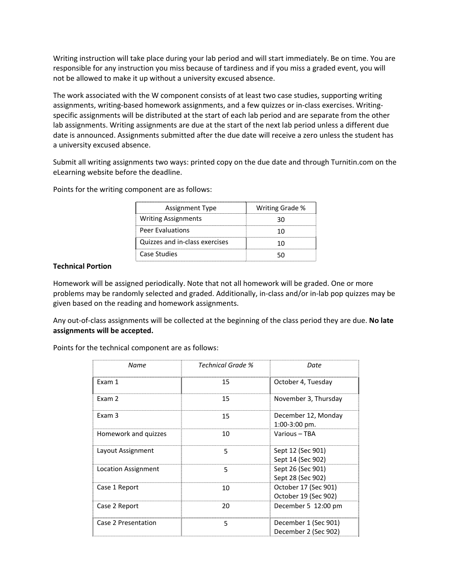Writing instruction will take place during your lab period and will start immediately. Be on time. You are responsible for any instruction you miss because of tardiness and if you miss a graded event, you will not be allowed to make it up without a university excused absence.

The work associated with the W component consists of at least two case studies, supporting writing assignments, writing-based homework assignments, and a few quizzes or in-class exercises. Writingspecific assignments will be distributed at the start of each lab period and are separate from the other lab assignments. Writing assignments are due at the start of the next lab period unless a different due date is announced. Assignments submitted after the due date will receive a zero unless the student has a university excused absence.

Submit all writing assignments two ways: printed copy on the due date and through Turnitin.com on the eLearning website before the deadline.

Points for the writing component are as follows:

| Assignment Type                | Writing Grade % |
|--------------------------------|-----------------|
| <b>Writing Assignments</b>     |                 |
| <b>Peer Evaluations</b>        |                 |
| Quizzes and in-class exercises |                 |
| Case Studies                   |                 |

#### **Technical Portion**

Homework will be assigned periodically. Note that not all homework will be graded. One or more problems may be randomly selected and graded. Additionally, in‐class and/or in‐lab pop quizzes may be given based on the reading and homework assignments.

Any out‐of‐class assignments will be collected at the beginning of the class period they are due. **No late assignments will be accepted.**

Points for the technical component are as follows:

| Name                 | Technical Grade % | Date                                         |
|----------------------|-------------------|----------------------------------------------|
| Exam 1               | 15                | October 4, Tuesday                           |
| Fxam 2               | 15                | November 3, Thursday                         |
| Exam 3               | 15                | December 12, Monday<br>$1:00-3:00$ pm.       |
| Homework and quizzes | 10                | Various - TBA                                |
| Layout Assignment    | 5                 | Sept 12 (Sec 901)<br>Sept 14 (Sec 902)       |
| Location Assignment  | 5                 | Sept 26 (Sec 901)<br>Sept 28 (Sec 902)       |
| Case 1 Report        | 10                | October 17 (Sec 901)<br>October 19 (Sec 902) |
| Case 2 Report        | 20                | December 5 12:00 pm                          |
| Case 2 Presentation  | 5                 | December 1 (Sec 901)<br>December 2 (Sec 902) |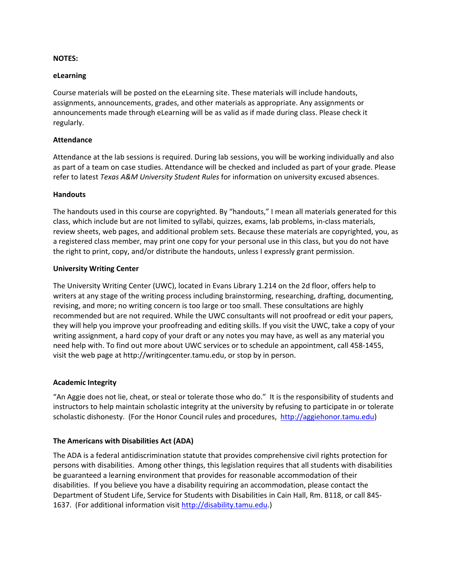### **NOTES:**

#### **eLearning**

Course materials will be posted on the eLearning site. These materials will include handouts, assignments, announcements, grades, and other materials as appropriate. Any assignments or announcements made through eLearning will be as valid as if made during class. Please check it regularly.

#### **Attendance**

Attendance at the lab sessions is required. During lab sessions, you will be working individually and also as part of a team on case studies. Attendance will be checked and included as part of your grade. Please refer to latest *Texas A&M University Student Rules* for information on university excused absences.

#### **Handouts**

The handouts used in this course are copyrighted. By "handouts," I mean all materials generated for this class, which include but are not limited to syllabi, quizzes, exams, lab problems, in‐class materials, review sheets, web pages, and additional problem sets. Because these materials are copyrighted, you, as a registered class member, may print one copy for your personal use in this class, but you do not have the right to print, copy, and/or distribute the handouts, unless I expressly grant permission.

#### **University Writing Center**

The University Writing Center (UWC), located in Evans Library 1.214 on the 2d floor, offers help to writers at any stage of the writing process including brainstorming, researching, drafting, documenting, revising, and more; no writing concern is too large or too small. These consultations are highly recommended but are not required. While the UWC consultants will not proofread or edit your papers, they will help you improve your proofreading and editing skills. If you visit the UWC, take a copy of your writing assignment, a hard copy of your draft or any notes you may have, as well as any material you need help with. To find out more about UWC services or to schedule an appointment, call 458‐1455, visit the web page at http://writingcenter.tamu.edu, or stop by in person.

## **Academic Integrity**

"An Aggie does not lie, cheat, or steal or tolerate those who do." It is the responsibility of students and instructors to help maintain scholastic integrity at the university by refusing to participate in or tolerate scholastic dishonesty. (For the Honor Council rules and procedures, http://aggiehonor.tamu.edu)

## **The Americans with Disabilities Act (ADA)**

The ADA is a federal antidiscrimination statute that provides comprehensive civil rights protection for persons with disabilities. Among other things, this legislation requires that all students with disabilities be guaranteed a learning environment that provides for reasonable accommodation of their disabilities. If you believe you have a disability requiring an accommodation, please contact the Department of Student Life, Service for Students with Disabilities in Cain Hall, Rm. B118, or call 845‐ 1637. (For additional information visit http://disability.tamu.edu.)